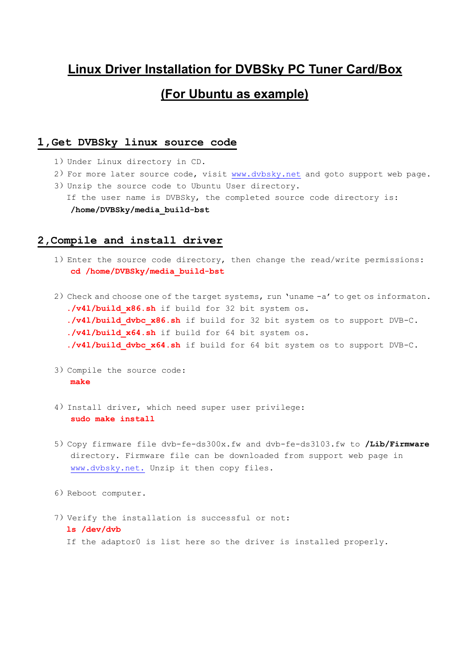## **Linux Driver Installation for DVBSky PC Tuner Card/Box (For Ubuntu as example)**

## **1,Get DVBSky linux source code**

- 1) Under Linux directory in CD.
- 2) For more later source code, visit [www.dvbsky.net](http://www.dvbsky.net) and goto support web page.
- 3)Unzip the source code to Ubuntu User directory. If the user name is DVBSky, the completed source code directory is: **/home/DVBSky/media\_build-bst**

## **2,Compile and install driver**

- 1) Enter the source code directory, then change the read/write permissions: **cd /home/DVBSky/media\_build-bst**
- 2) Check and choose one of the target systems, run 'uname -a' to get os informaton. **./v4l/build\_x86.sh** if build for 32 bit system os. **./v4l/build\_dvbc\_x86.sh** if build for 32 bit system os to support DVB-C. **./v4l/build\_x64.sh** if build for 64 bit system os. ./v41/build dvbc x64.sh if build for 64 bit system os to support DVB-C.
- 3)Compile the source code: **make**
- 4) Install driver, which need super user privilege: **sudo make install**
- 5)Copy firmware file dvb-fe-ds300x.fw and dvb-fe-ds3103.fw to **/Lib/Firmware** directory. Firmware file can be downloaded from support web page in [www.dvbsky.net.](http://www.dvbsky.net.) Unzip it then copy files.
- 6) Reboot computer.
- 7) Verify the installation is successful or not: **ls /dev/dvb** If the adaptor0 is list here so the driver is installed properly.